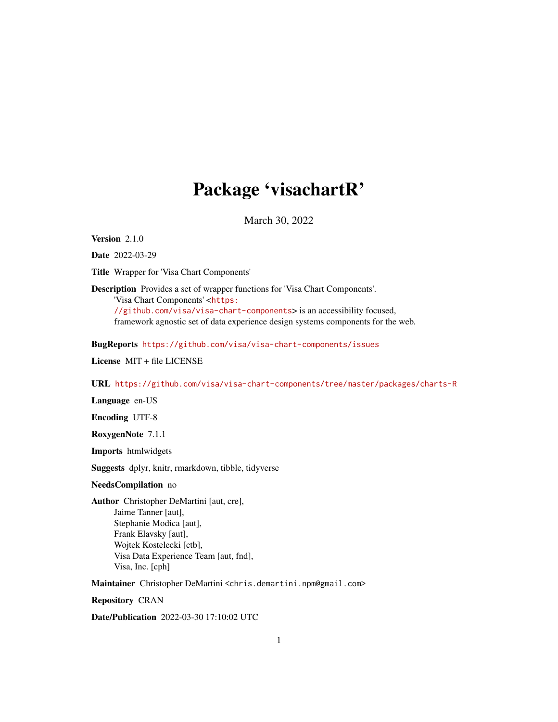## Package 'visachartR'

March 30, 2022

Version 2.1.0

Date 2022-03-29

Title Wrapper for 'Visa Chart Components'

Description Provides a set of wrapper functions for 'Visa Chart Components'.

'Visa Chart Components' <[https:](https://github.com/visa/visa-chart-components)

[//github.com/visa/visa-chart-components](https://github.com/visa/visa-chart-components)> is an accessibility focused, framework agnostic set of data experience design systems components for the web.

BugReports <https://github.com/visa/visa-chart-components/issues>

License MIT + file LICENSE

URL <https://github.com/visa/visa-chart-components/tree/master/packages/charts-R>

Language en-US

Encoding UTF-8

RoxygenNote 7.1.1

Imports htmlwidgets

Suggests dplyr, knitr, rmarkdown, tibble, tidyverse

#### NeedsCompilation no

Author Christopher DeMartini [aut, cre], Jaime Tanner [aut], Stephanie Modica [aut], Frank Elavsky [aut], Wojtek Kostelecki [ctb], Visa Data Experience Team [aut, fnd], Visa, Inc. [cph]

Maintainer Christopher DeMartini <chris.demartini.npm@gmail.com>

Repository CRAN

Date/Publication 2022-03-30 17:10:02 UTC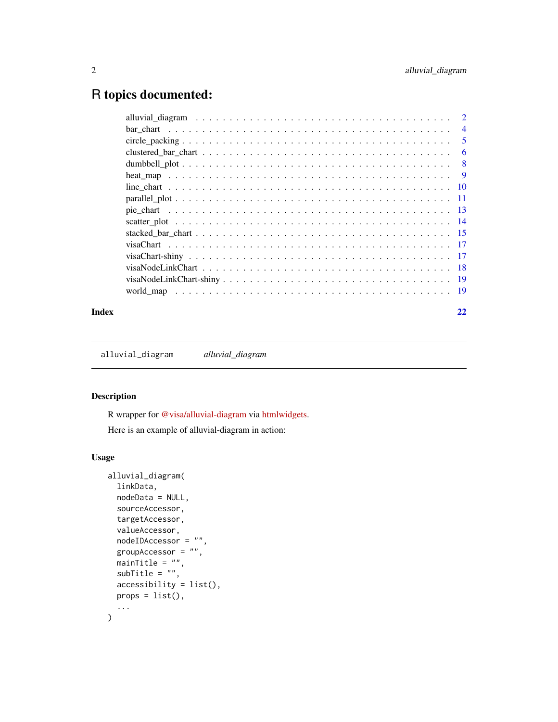## <span id="page-1-0"></span>R topics documented:

|  | $\overline{4}$ |
|--|----------------|
|  | -5             |
|  | 6              |
|  | -8             |
|  |                |
|  |                |
|  |                |
|  |                |
|  |                |
|  |                |
|  |                |
|  |                |
|  |                |
|  |                |
|  |                |
|  |                |

#### **Index** [22](#page-21-0)

alluvial\_diagram *alluvial\_diagram*

## Description

R wrapper for [@visa/alluvial-diagram](https://github.com/visa/visa-chart-components/tree/master/packages/alluvial-diagram) via [htmlwidgets.](https://www.htmlwidgets.org/)

Here is an example of alluvial-diagram in action:

```
alluvial_diagram(
 linkData,
 nodeData = NULL,
 sourceAccessor,
  targetAccessor,
 valueAccessor,
 nodeIDAccessor = "",
 groupAccessor = ",
  mainTitle = "",
  subTitle = "",accessibility = list(),
 props = list(),
  ...
)
```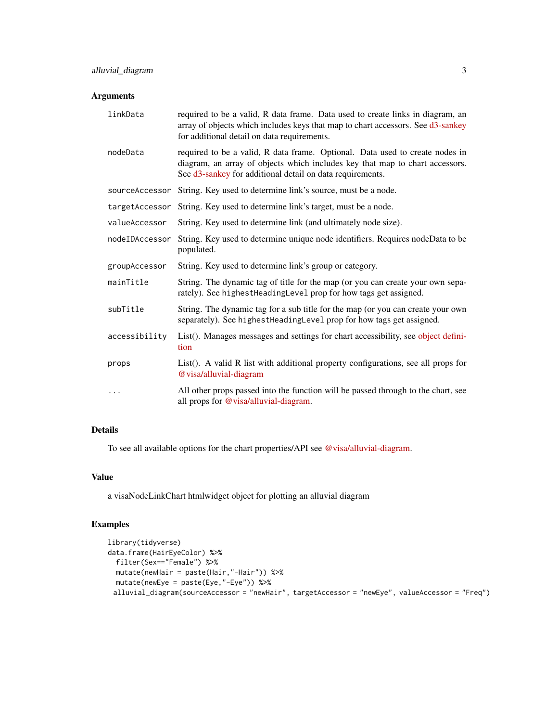#### Arguments

| linkData       | required to be a valid, R data frame. Data used to create links in diagram, an<br>array of objects which includes keys that map to chart accessors. See d3-sankey<br>for additional detail on data requirements.          |
|----------------|---------------------------------------------------------------------------------------------------------------------------------------------------------------------------------------------------------------------------|
| nodeData       | required to be a valid, R data frame. Optional. Data used to create nodes in<br>diagram, an array of objects which includes key that map to chart accessors.<br>See d3-sankey for additional detail on data requirements. |
| sourceAccessor | String. Key used to determine link's source, must be a node.                                                                                                                                                              |
| targetAccessor | String. Key used to determine link's target, must be a node.                                                                                                                                                              |
| valueAccessor  | String. Key used to determine link (and ultimately node size).                                                                                                                                                            |
| nodeIDAccessor | String. Key used to determine unique node identifiers. Requires nodeData to be<br>populated.                                                                                                                              |
| groupAccessor  | String. Key used to determine link's group or category.                                                                                                                                                                   |
| mainTitle      | String. The dynamic tag of title for the map (or you can create your own sepa-<br>rately). See highest Heading Level prop for how tags get assigned.                                                                      |
| subTitle       | String. The dynamic tag for a sub title for the map (or you can create your own<br>separately). See highest Heading Level prop for how tags get assigned.                                                                 |
| accessibility  | List(). Manages messages and settings for chart accessibility, see object defini-<br>tion                                                                                                                                 |
| props          | List(). A valid R list with additional property configurations, see all props for<br>@visa/alluvial-diagram                                                                                                               |
| .              | All other props passed into the function will be passed through to the chart, see<br>all props for @visa/alluvial-diagram.                                                                                                |

## Details

To see all available options for the chart properties/API see [@visa/alluvial-diagram.](https://github.com/visa/visa-chart-components/tree/master/packages/alluvial-diagram)

## Value

a visaNodeLinkChart htmlwidget object for plotting an alluvial diagram

```
library(tidyverse)
data.frame(HairEyeColor) %>%
  filter(Sex=="Female") %>%
  mutate(newHair = paste(Hair,"-Hair")) %>%
 mutate(newEye = paste(Eye,"-Eye")) %>%
 alluvial_diagram(sourceAccessor = "newHair", targetAccessor = "newEye", valueAccessor = "Freq")
```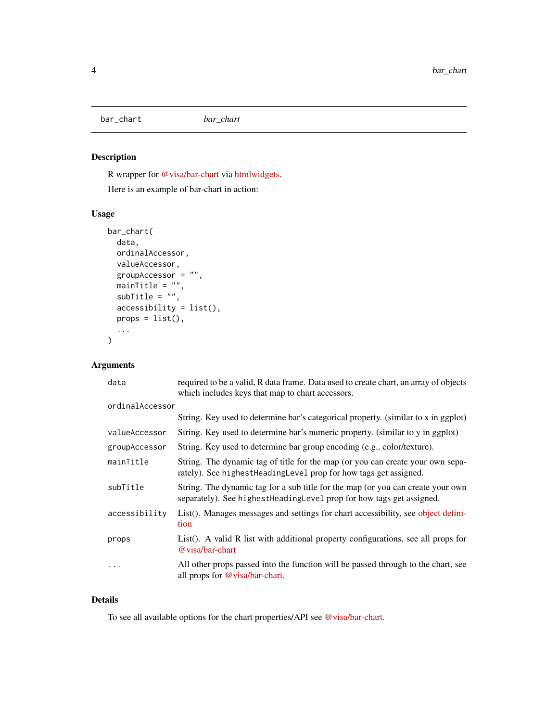<span id="page-3-0"></span>bar\_chart *bar\_chart*

## Description

R wrapper for [@visa/bar-chart](https://github.com/visa/visa-chart-components/tree/master/packages/bar-chart) via [htmlwidgets.](https://www.htmlwidgets.org/)

Here is an example of bar-chart in action:

## Usage

```
bar_chart(
 data,
 ordinalAccessor,
 valueAccessor,
  groupAccessor = "",
 minimum = ",
  subTitle = "",
  accessibility = list(),
 props = list(),
  ...
)
```
## Arguments

| data            | required to be a valid, R data frame. Data used to create chart, an array of objects<br>which includes keys that map to chart accessors.                  |
|-----------------|-----------------------------------------------------------------------------------------------------------------------------------------------------------|
| ordinalAccessor |                                                                                                                                                           |
|                 | String. Key used to determine bar's categorical property. (similar to x in ggplot)                                                                        |
| valueAccessor   | String. Key used to determine bar's numeric property. (similar to y in ggplot)                                                                            |
| groupAccessor   | String. Key used to determine bar group encoding (e.g., color/texture).                                                                                   |
| mainTitle       | String. The dynamic tag of title for the map (or you can create your own sepa-<br>rately). See highest Heading Level prop for how tags get assigned.      |
| subTitle        | String. The dynamic tag for a sub title for the map (or you can create your own<br>separately). See highest Heading Level prop for how tags get assigned. |
| accessibility   | List(). Manages messages and settings for chart accessibility, see object defini-<br>tion                                                                 |
| props           | List(). A valid R list with additional property configurations, see all props for<br>@ visa/bar-chart                                                     |
| .               | All other props passed into the function will be passed through to the chart, see<br>all props for @visa/bar-chart.                                       |

#### Details

To see all available options for the chart properties/API see [@visa/bar-chart.](https://github.com/visa/visa-chart-components/tree/master/packages/bar-chart)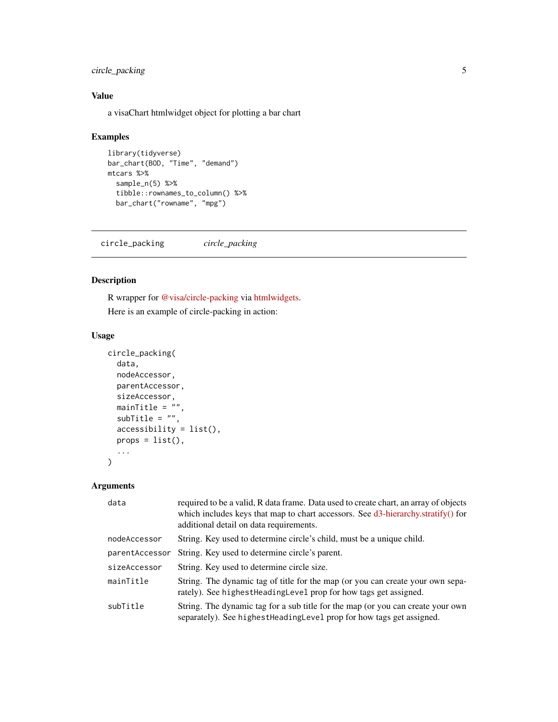## <span id="page-4-0"></span>circle\_packing 5

## Value

a visaChart htmlwidget object for plotting a bar chart

#### Examples

```
library(tidyverse)
bar_chart(BOD, "Time", "demand")
mtcars %>%
  sample_n(5) %>%
  tibble::rownames_to_column() %>%
  bar_chart("rowname", "mpg")
```
circle\_packing *circle\_packing*

## Description

R wrapper for [@visa/circle-packing](https://github.com/visa/visa-chart-components/tree/master/packages/circle-packing) via [htmlwidgets.](https://www.htmlwidgets.org/)

Here is an example of circle-packing in action:

## Usage

```
circle_packing(
  data,
  nodeAccessor,
  parentAccessor,
  sizeAccessor,
  mainTitle = \overline{''''},
  subTitle = ",
  accessibility = list(),
  props = list(),
  ...
)
```

| data           | required to be a valid, R data frame. Data used to create chart, an array of objects<br>which includes keys that map to chart accessors. See d3-hierarchy.stratify() for<br>additional detail on data requirements. |
|----------------|---------------------------------------------------------------------------------------------------------------------------------------------------------------------------------------------------------------------|
| nodeAccessor   | String. Key used to determine circle's child, must be a unique child.                                                                                                                                               |
| parentAccessor | String. Key used to determine circle's parent.                                                                                                                                                                      |
| sizeAccessor   | String. Key used to determine circle size.                                                                                                                                                                          |
| mainTitle      | String. The dynamic tag of title for the map (or you can create your own sepa-<br>rately). See highest Heading Level prop for how tags get assigned.                                                                |
| subTitle       | String. The dynamic tag for a sub title for the map (or you can create your own<br>separately). See highest Heading Level prop for how tags get assigned.                                                           |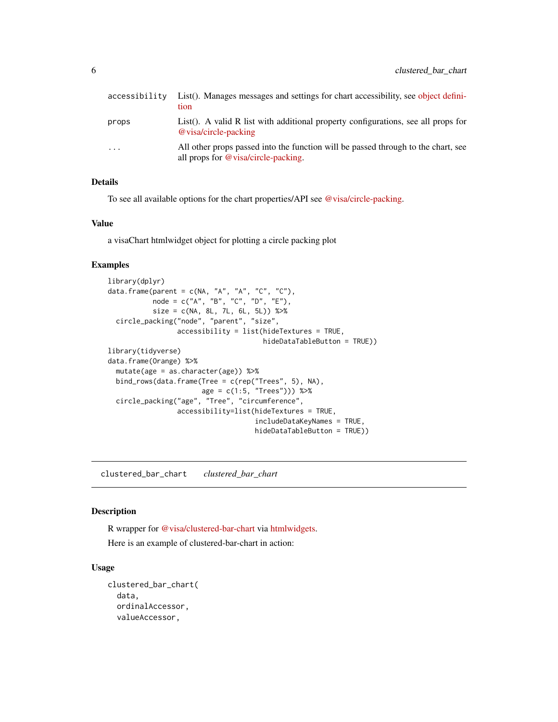<span id="page-5-0"></span>

| accessibility | List(). Manages messages and settings for chart accessibility, see object defini-<br>tion                                |
|---------------|--------------------------------------------------------------------------------------------------------------------------|
| props         | List(). A valid R list with additional property configurations, see all props for<br>@ visa/circle-packing               |
| $\ddotsc$     | All other props passed into the function will be passed through to the chart, see<br>all props for @visa/circle-packing. |

## Details

To see all available options for the chart properties/API see [@visa/circle-packing.](https://github.com/visa/visa-chart-components/tree/master/packages/circle-packing)

#### Value

a visaChart htmlwidget object for plotting a circle packing plot

#### Examples

```
library(dplyr)
data.frame(parent = c(NA, "A", "A", "C", "C"),
           node = c("A", "B", "C", "D", "E"),
           size = c(NA, 8L, 7L, 6L, 5L)) %>%
 circle_packing("node", "parent", "size",
                 accessibility = list(hideTextures = TRUE,
                                      hideDataTableButton = TRUE))
library(tidyverse)
data.frame(Orange) %>%
 mutate(age = as.character(age)) %>%
 bind_rows(data.frame(Tree = c(rep("Trees", 5), NA),
                      age = c(1:5, "Trees"))) %>%
 circle_packing("age", "Tree", "circumference",
                 accessibility=list(hideTextures = TRUE,
                                    includeDataKeyNames = TRUE,
                                    hideDataTableButton = TRUE))
```
clustered\_bar\_chart *clustered\_bar\_chart*

## Description

R wrapper for [@visa/clustered-bar-chart](https://github.com/visa/visa-chart-components/tree/master/packages/clustered-bar-chart) via [htmlwidgets.](https://www.htmlwidgets.org/)

Here is an example of clustered-bar-chart in action:

```
clustered_bar_chart(
  data,
  ordinalAccessor,
  valueAccessor,
```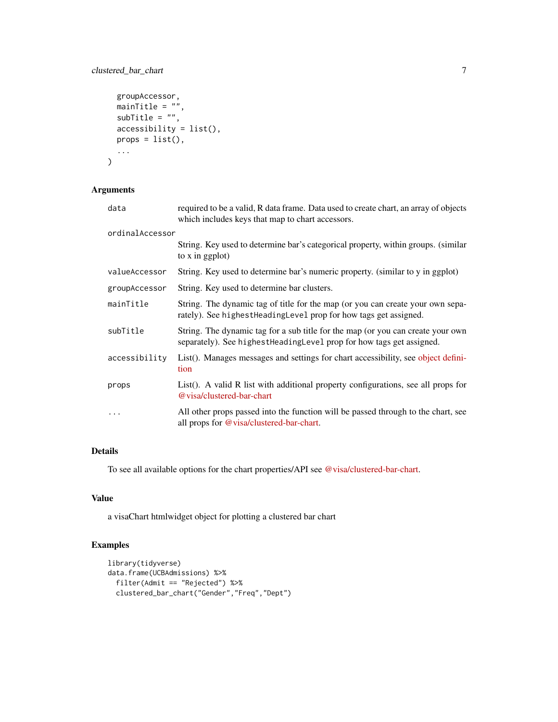## clustered\_bar\_chart 7

```
groupAccessor,
  mainTitle = "",
  subTitle = "",accessibility = list(),
 props = list(),...
)
```
## Arguments

| data            | required to be a valid, R data frame. Data used to create chart, an array of objects<br>which includes keys that map to chart accessors.                |
|-----------------|---------------------------------------------------------------------------------------------------------------------------------------------------------|
| ordinalAccessor |                                                                                                                                                         |
|                 | String. Key used to determine bar's categorical property, within groups. (similar<br>to x in ggplot)                                                    |
| valueAccessor   | String. Key used to determine bar's numeric property. (similar to y in ggplot)                                                                          |
| groupAccessor   | String. Key used to determine bar clusters.                                                                                                             |
| mainTitle       | String. The dynamic tag of title for the map (or you can create your own sepa-<br>rately). See highest Heading Level prop for how tags get assigned.    |
| subTitle        | String. The dynamic tag for a sub title for the map (or you can create your own<br>separately). See highestHeadingLevel prop for how tags get assigned. |
| accessibility   | List(). Manages messages and settings for chart accessibility, see object defini-<br>tion                                                               |
| props           | List(). A valid R list with additional property configurations, see all props for<br>@visa/clustered-bar-chart                                          |
| $\ddotsc$       | All other props passed into the function will be passed through to the chart, see<br>all props for @visa/clustered-bar-chart.                           |

## Details

To see all available options for the chart properties/API see [@visa/clustered-bar-chart.](https://github.com/visa/visa-chart-components/tree/master/packages/clustered-bar-chart)

#### Value

a visaChart htmlwidget object for plotting a clustered bar chart

```
library(tidyverse)
data.frame(UCBAdmissions) %>%
  filter(Admit == "Rejected") %>%
  clustered_bar_chart("Gender","Freq","Dept")
```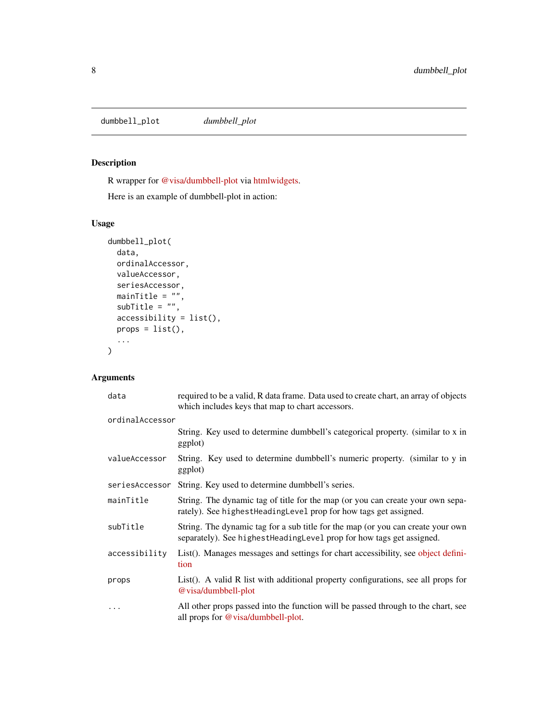<span id="page-7-0"></span>dumbbell\_plot *dumbbell\_plot*

## Description

R wrapper for [@visa/dumbbell-plot](https://github.com/visa/visa-chart-components/tree/master/packages/dumbbell-plot) via [htmlwidgets.](https://www.htmlwidgets.org/)

Here is an example of dumbbell-plot in action:

## Usage

```
dumbbell_plot(
 data,
 ordinalAccessor,
 valueAccessor,
 seriesAccessor,
 mainTitle = ",
 subTitle = "",accessibility = list(),
 props = list(),
  ...
)
```

| data            | required to be a valid, R data frame. Data used to create chart, an array of objects<br>which includes keys that map to chart accessors.                  |
|-----------------|-----------------------------------------------------------------------------------------------------------------------------------------------------------|
| ordinalAccessor |                                                                                                                                                           |
|                 | String. Key used to determine dumbbell's categorical property. (similar to x in<br>ggplot)                                                                |
| valueAccessor   | String. Key used to determine dumbbell's numeric property. (similar to y in<br>ggplot)                                                                    |
| seriesAccessor  | String. Key used to determine dumbbell's series.                                                                                                          |
| mainTitle       | String. The dynamic tag of title for the map (or you can create your own sepa-<br>rately). See highest Heading Level prop for how tags get assigned.      |
| subTitle        | String. The dynamic tag for a sub title for the map (or you can create your own<br>separately). See highest Heading Level prop for how tags get assigned. |
| accessibility   | List(). Manages messages and settings for chart accessibility, see object defini-<br>tion                                                                 |
| props           | List(). A valid R list with additional property configurations, see all props for<br>@ visa/dumbbell-plot                                                 |
| $\cdots$        | All other props passed into the function will be passed through to the chart, see<br>all props for $@$ visa/dumbbell-plot.                                |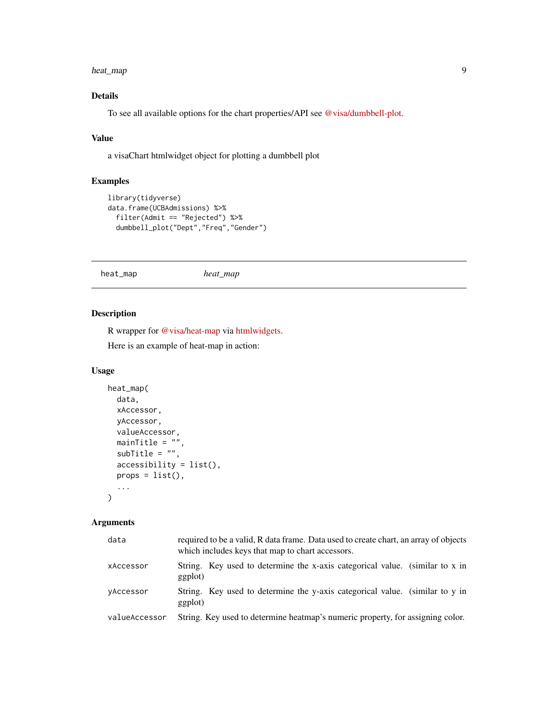#### <span id="page-8-0"></span>heat\_map 9

## Details

To see all available options for the chart properties/API see [@visa/dumbbell-plot.](https://github.com/visa/visa-chart-components/tree/master/packages/dumbbell-plot)

## Value

a visaChart htmlwidget object for plotting a dumbbell plot

#### Examples

```
library(tidyverse)
data.frame(UCBAdmissions) %>%
  filter(Admit == "Rejected") %>%
  dumbbell_plot("Dept","Freq","Gender")
```
heat\_map *heat\_map*

## Description

R wrapper for [@visa/heat-map](https://github.com/visa/visa-chart-components/tree/master/packages/heat-map) via [htmlwidgets.](https://www.htmlwidgets.org/)

Here is an example of heat-map in action:

#### Usage

```
heat_map(
  data,
 xAccessor,
 yAccessor,
 valueAccessor,
  mainTitle = "",
  subTitle = "",accessibility = list(),
  props = list(),
  ...
)
```

| data          | required to be a valid, R data frame. Data used to create chart, an array of objects<br>which includes keys that map to chart accessors. |
|---------------|------------------------------------------------------------------------------------------------------------------------------------------|
| xAccessor     | String. Key used to determine the x-axis categorical value. (similar to x in<br>ggplot)                                                  |
| vAccessor     | String. Key used to determine the y-axis categorical value. (similar to y in<br>ggplot)                                                  |
| valueAccessor | String. Key used to determine heatmap's numeric property, for assigning color.                                                           |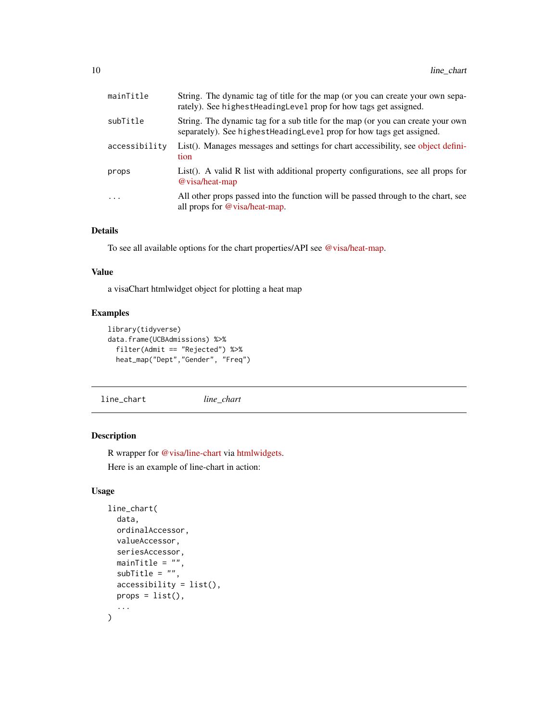<span id="page-9-0"></span>

| mainTitle     | String. The dynamic tag of title for the map (or you can create your own sepa-<br>rately). See highest Heading Level prop for how tags get assigned.      |
|---------------|-----------------------------------------------------------------------------------------------------------------------------------------------------------|
| subTitle      | String. The dynamic tag for a sub title for the map (or you can create your own<br>separately). See highest Heading Level prop for how tags get assigned. |
| accessibility | List(). Manages messages and settings for chart accessibility, see object defini-<br>tion                                                                 |
| props         | List(). A valid R list with additional property configurations, see all props for<br>@ visa/heat-map                                                      |
| $\cdots$      | All other props passed into the function will be passed through to the chart, see<br>all props for @visa/heat-map.                                        |

#### Details

To see all available options for the chart properties/API see [@visa/heat-map.](https://github.com/visa/visa-chart-components/tree/master/packages/heat-map)

#### Value

a visaChart htmlwidget object for plotting a heat map

## Examples

```
library(tidyverse)
data.frame(UCBAdmissions) %>%
  filter(Admit == "Rejected") %>%
  heat_map("Dept","Gender", "Freq")
```
line\_chart *line\_chart*

## Description

R wrapper for [@visa/line-chart](https://github.com/visa/visa-chart-components/tree/master/packages/line-chart) via [htmlwidgets.](https://www.htmlwidgets.org/)

Here is an example of line-chart in action:

```
line_chart(
  data,
 ordinalAccessor,
  valueAccessor,
  seriesAccessor,
  mainTitle = "",
  subTitle = "",accessibility = list(),
 props = list(),
  ...
)
```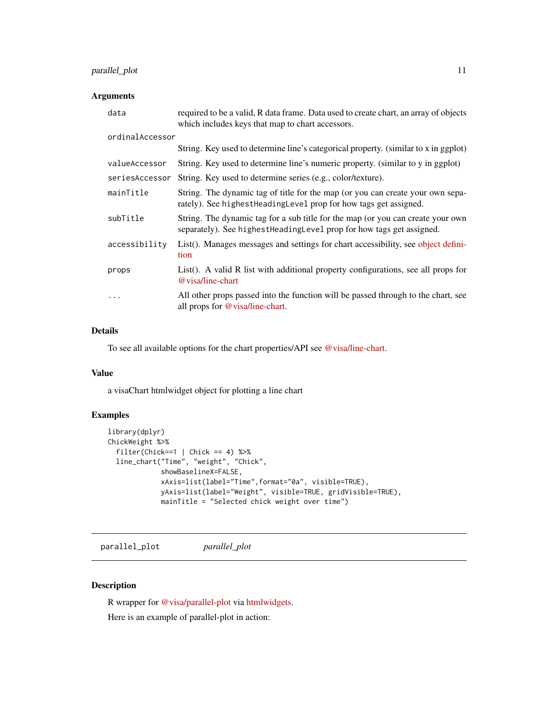## <span id="page-10-0"></span>parallel\_plot 11

#### Arguments

| data            | required to be a valid, R data frame. Data used to create chart, an array of objects<br>which includes keys that map to chart accessors.                  |
|-----------------|-----------------------------------------------------------------------------------------------------------------------------------------------------------|
| ordinalAccessor |                                                                                                                                                           |
|                 | String. Key used to determine line's categorical property. (similar to x in ggplot)                                                                       |
| valueAccessor   | String. Key used to determine line's numeric property. (similar to y in ggplot)                                                                           |
| seriesAccessor  | String. Key used to determine series (e.g., color/texture).                                                                                               |
| mainTitle       | String. The dynamic tag of title for the map (or you can create your own sepa-<br>rately). See highest Heading Level prop for how tags get assigned.      |
| subTitle        | String. The dynamic tag for a sub title for the map (or you can create your own<br>separately). See highest Heading Level prop for how tags get assigned. |
| accessibility   | List(). Manages messages and settings for chart accessibility, see object defini-<br>tion                                                                 |
| props           | List(). A valid R list with additional property configurations, see all props for<br>@ visa/line-chart                                                    |
| $\cdots$        | All other props passed into the function will be passed through to the chart, see<br>all props for @visa/line-chart.                                      |

## Details

To see all available options for the chart properties/API see [@visa/line-chart.](https://github.com/visa/visa-chart-components/tree/master/packages/line-chart)

#### Value

a visaChart htmlwidget object for plotting a line chart

## Examples

```
library(dplyr)
ChickWeight %>%
  filter(Chick==1 | Chick == 4) %>%
 line_chart("Time", "weight", "Chick",
             showBaselineX=FALSE,
             xAxis=list(label="Time",format="0a", visible=TRUE),
             yAxis=list(label="Weight", visible=TRUE, gridVisible=TRUE),
             mainTitle = "Selected chick weight over time")
```
parallel\_plot *parallel\_plot*

## Description

R wrapper for [@visa/parallel-plot](https://github.com/visa/visa-chart-components/tree/master/packages/parallel-plot) via [htmlwidgets.](https://www.htmlwidgets.org/) Here is an example of parallel-plot in action: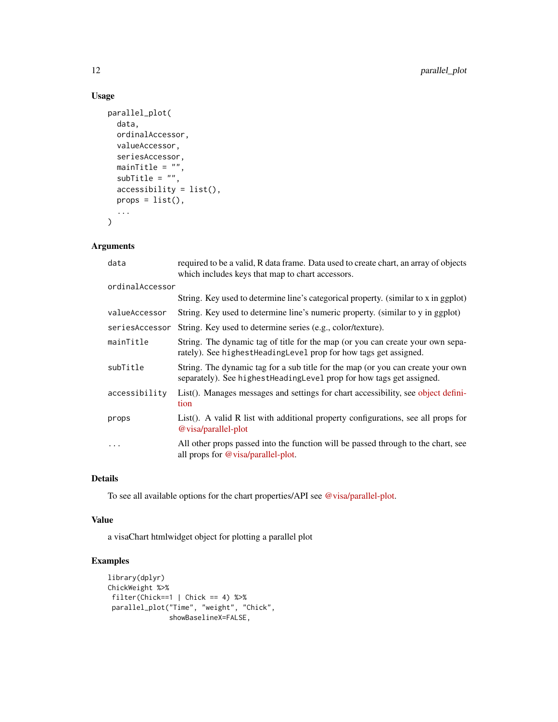#### Usage

```
parallel_plot(
 data,
 ordinalAccessor,
 valueAccessor,
 seriesAccessor,
 mainTitle = ",
 subTitle = ",
 accessibility = list(),
 props = list(),
  ...
)
```
## Arguments

| data            | required to be a valid, R data frame. Data used to create chart, an array of objects<br>which includes keys that map to chart accessors.                  |
|-----------------|-----------------------------------------------------------------------------------------------------------------------------------------------------------|
| ordinalAccessor |                                                                                                                                                           |
|                 | String. Key used to determine line's categorical property. (similar to x in ggplot)                                                                       |
| valueAccessor   | String. Key used to determine line's numeric property. (similar to y in ggplot)                                                                           |
| seriesAccessor  | String. Key used to determine series (e.g., color/texture).                                                                                               |
| mainTitle       | String. The dynamic tag of title for the map (or you can create your own sepa-<br>rately). See highest Heading Level prop for how tags get assigned.      |
| subTitle        | String. The dynamic tag for a sub title for the map (or you can create your own<br>separately). See highest Heading Level prop for how tags get assigned. |
| accessibility   | List(). Manages messages and settings for chart accessibility, see object defini-<br>tion                                                                 |
| props           | List(). A valid R list with additional property configurations, see all props for<br>@ visa/parallel-plot                                                 |
| $\cdots$        | All other props passed into the function will be passed through to the chart, see<br>all props for @visa/parallel-plot.                                   |

#### Details

To see all available options for the chart properties/API see [@visa/parallel-plot.](https://github.com/visa/visa-chart-components/tree/master/packages/parallel-plot)

#### Value

a visaChart htmlwidget object for plotting a parallel plot

```
library(dplyr)
ChickWeight %>%
filter(Chick==1 | Chick == 4) %>%
 parallel_plot("Time", "weight", "Chick",
              showBaselineX=FALSE,
```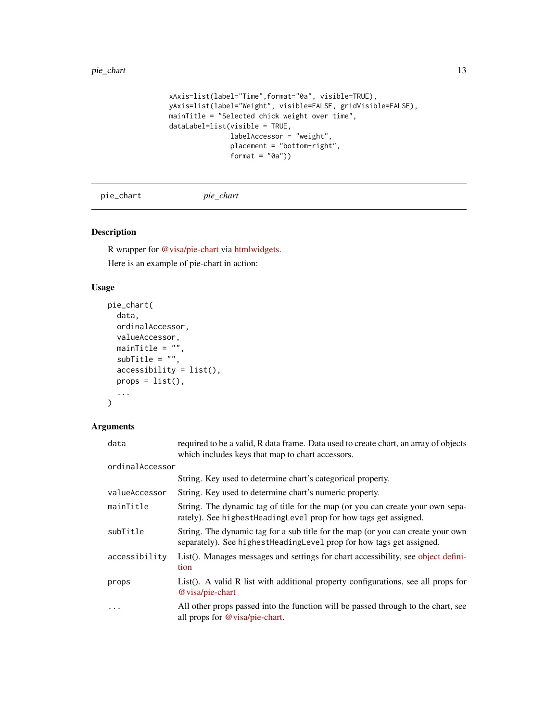```
xAxis=list(label="Time",format="0a", visible=TRUE),
yAxis=list(label="Weight", visible=FALSE, gridVisible=FALSE),
mainTitle = "Selected chick weight over time",
dataLabel=list(visible = TRUE,
               labelAccessor = "weight",
               placement = "bottom-right",
               format = "0a"))
```

```
pie_chart pie_chart
```
## Description

R wrapper for [@visa/pie-chart](https://github.com/visa/visa-chart-components/tree/master/packages/pie-chart) via [htmlwidgets.](https://www.htmlwidgets.org/)

Here is an example of pie-chart in action:

## Usage

```
pie_chart(
 data,
 ordinalAccessor,
 valueAccessor,
 mainTitle = ",
 subTitle = "",accessibility = list(),
 props = list(),
  ...
\mathcal{L}
```

| data            | required to be a valid, R data frame. Data used to create chart, an array of objects<br>which includes keys that map to chart accessors.                  |
|-----------------|-----------------------------------------------------------------------------------------------------------------------------------------------------------|
| ordinalAccessor |                                                                                                                                                           |
|                 | String. Key used to determine chart's categorical property.                                                                                               |
| valueAccessor   | String. Key used to determine chart's numeric property.                                                                                                   |
| mainTitle       | String. The dynamic tag of title for the map (or you can create your own sepa-<br>rately). See highest Heading Level prop for how tags get assigned.      |
| subTitle        | String. The dynamic tag for a sub title for the map (or you can create your own<br>separately). See highest Heading Level prop for how tags get assigned. |
| accessibility   | List(). Manages messages and settings for chart accessibility, see object defini-<br>tion                                                                 |
| props           | List(). A valid R list with additional property configurations, see all props for<br>@visa/pie-chart                                                      |
| $\ddotsc$       | All other props passed into the function will be passed through to the chart, see<br>all props for $@$ visa/pie-chart.                                    |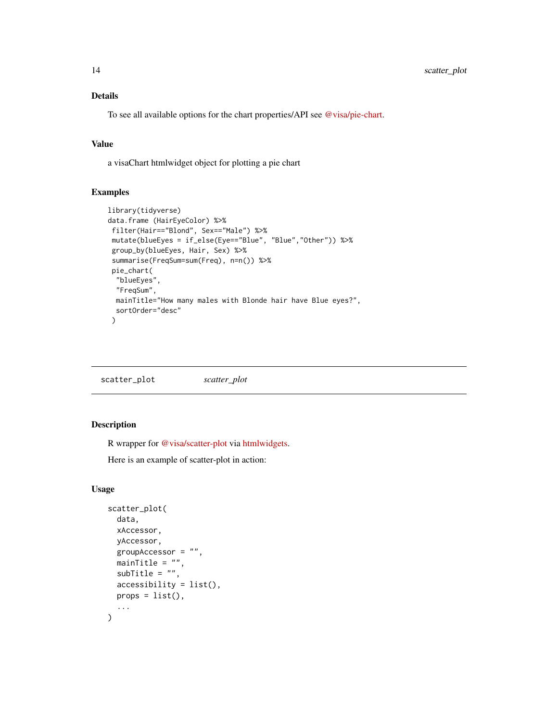## <span id="page-13-0"></span>Details

To see all available options for the chart properties/API see [@visa/pie-chart.](https://github.com/visa/visa-chart-components/tree/master/packages/pie-chart)

#### Value

a visaChart htmlwidget object for plotting a pie chart

#### Examples

```
library(tidyverse)
data.frame (HairEyeColor) %>%
 filter(Hair=="Blond", Sex=="Male") %>%
 mutate(blueEyes = if_else(Eye=="Blue", "Blue","Other")) %>%
 group_by(blueEyes, Hair, Sex) %>%
 summarise(FreqSum=sum(Freq), n=n()) %>%
 pie_chart(
  "blueEyes",
  "FreqSum",
 mainTitle="How many males with Blonde hair have Blue eyes?",
  sortOrder="desc"
 \lambda
```
scatter\_plot *scatter\_plot*

## Description

R wrapper for [@visa/scatter-plot](https://github.com/visa/visa-chart-components/tree/master/packages/scatter-plot) via [htmlwidgets.](https://www.htmlwidgets.org/)

Here is an example of scatter-plot in action:

```
scatter_plot(
 data,
 xAccessor,
 yAccessor,
 groupAccessor = "",
 mainTitle = ",
 subTitle = ",
 accessibility = list(),props = list(),
  ...
)
```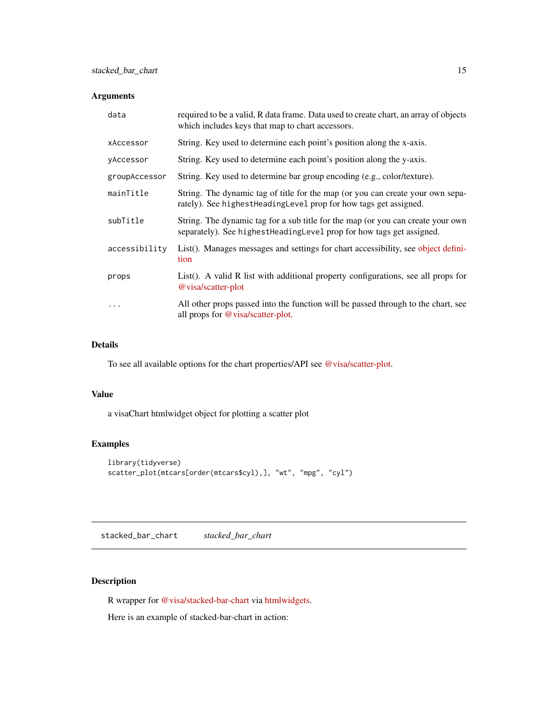## <span id="page-14-0"></span>Arguments

| data          | required to be a valid, R data frame. Data used to create chart, an array of objects<br>which includes keys that map to chart accessors.                  |
|---------------|-----------------------------------------------------------------------------------------------------------------------------------------------------------|
| xAccessor     | String. Key used to determine each point's position along the x-axis.                                                                                     |
| yAccessor     | String. Key used to determine each point's position along the y-axis.                                                                                     |
| groupAccessor | String. Key used to determine bar group encoding (e.g., color/texture).                                                                                   |
| mainTitle     | String. The dynamic tag of title for the map (or you can create your own sepa-<br>rately). See highest Heading Level prop for how tags get assigned.      |
| subTitle      | String. The dynamic tag for a sub title for the map (or you can create your own<br>separately). See highest Heading Level prop for how tags get assigned. |
| accessibility | List(). Manages messages and settings for chart accessibility, see object defini-<br>tion                                                                 |
| props         | List(). A valid R list with additional property configurations, see all props for<br>@ visa/scatter-plot                                                  |
| .             | All other props passed into the function will be passed through to the chart, see<br>all props for @visa/scatter-plot.                                    |

#### Details

To see all available options for the chart properties/API see [@visa/scatter-plot.](https://github.com/visa/visa-chart-components/tree/master/packages/scatter-plot)

#### Value

a visaChart htmlwidget object for plotting a scatter plot

## Examples

```
library(tidyverse)
scatter_plot(mtcars[order(mtcars$cyl),], "wt", "mpg", "cyl")
```
stacked\_bar\_chart *stacked\_bar\_chart*

## Description

R wrapper for [@visa/stacked-bar-chart](https://github.com/visa/visa-chart-components/tree/master/packages/stacked-bar-chart) via [htmlwidgets.](https://www.htmlwidgets.org/)

Here is an example of stacked-bar-chart in action: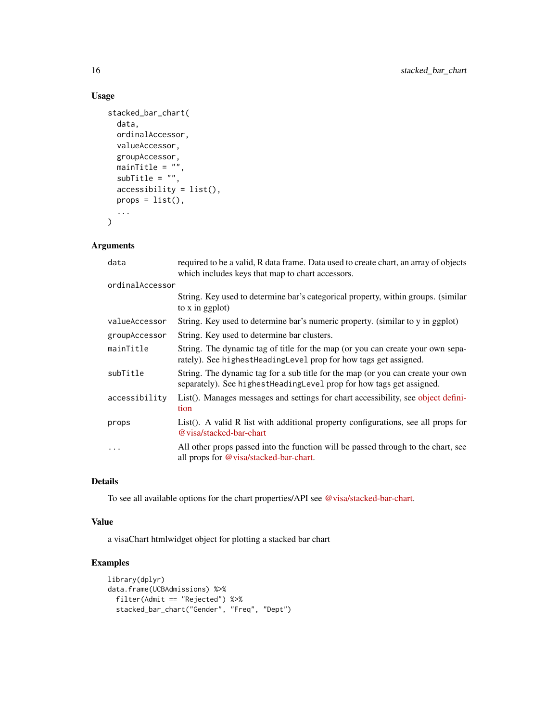#### Usage

```
stacked_bar_chart(
 data,
 ordinalAccessor,
 valueAccessor,
 groupAccessor,
 mainTitle = ",
 subTitle = ",
 accessibility = list(),
 props = list(),
  ...
)
```
## Arguments

| required to be a valid, R data frame. Data used to create chart, an array of objects<br>which includes keys that map to chart accessors.                  |
|-----------------------------------------------------------------------------------------------------------------------------------------------------------|
| ordinalAccessor                                                                                                                                           |
| String. Key used to determine bar's categorical property, within groups. (similar<br>to x in ggplot)                                                      |
| String. Key used to determine bar's numeric property. (similar to y in ggplot)                                                                            |
| String. Key used to determine bar clusters.                                                                                                               |
| String. The dynamic tag of title for the map (or you can create your own sepa-<br>rately). See highest Heading Level prop for how tags get assigned.      |
| String. The dynamic tag for a sub title for the map (or you can create your own<br>separately). See highest Heading Level prop for how tags get assigned. |
| List(). Manages messages and settings for chart accessibility, see object defini-<br>tion                                                                 |
| List(). A valid R list with additional property configurations, see all props for<br>@ yisa/stacked-bar-chart                                             |
| All other props passed into the function will be passed through to the chart, see<br>all props for @visa/stacked-bar-chart.                               |
|                                                                                                                                                           |

## Details

To see all available options for the chart properties/API see [@visa/stacked-bar-chart.](https://github.com/visa/visa-chart-components/tree/master/packages/stacked-bar-chart)

#### Value

a visaChart htmlwidget object for plotting a stacked bar chart

```
library(dplyr)
data.frame(UCBAdmissions) %>%
  filter(Admit == "Rejected") %>%
  stacked_bar_chart("Gender", "Freq", "Dept")
```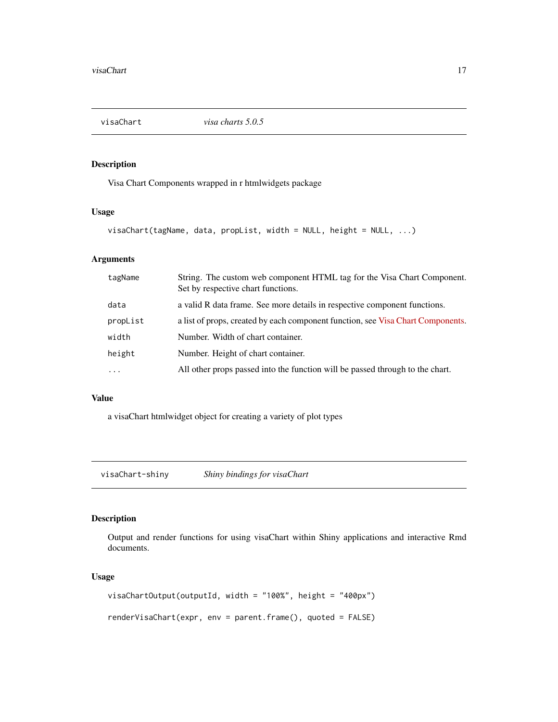<span id="page-16-0"></span>

## Description

Visa Chart Components wrapped in r htmlwidgets package

#### Usage

```
visaChart(tagName, data, propList, width = NULL, height = NULL, ...)
```
## Arguments

| tagName   | String. The custom web component HTML tag for the Visa Chart Component.<br>Set by respective chart functions. |
|-----------|---------------------------------------------------------------------------------------------------------------|
| data      | a valid R data frame. See more details in respective component functions.                                     |
| propList  | a list of props, created by each component function, see Visa Chart Components.                               |
| width     | Number. Width of chart container.                                                                             |
| height    | Number. Height of chart container.                                                                            |
| $\ddotsc$ | All other props passed into the function will be passed through to the chart.                                 |

## Value

a visaChart htmlwidget object for creating a variety of plot types

visaChart-shiny *Shiny bindings for visaChart*

## Description

Output and render functions for using visaChart within Shiny applications and interactive Rmd documents.

```
visaChartOutput(outputId, width = "100%", height = "400px")
renderVisaChart(expr, env = parent.frame(), quoted = FALSE)
```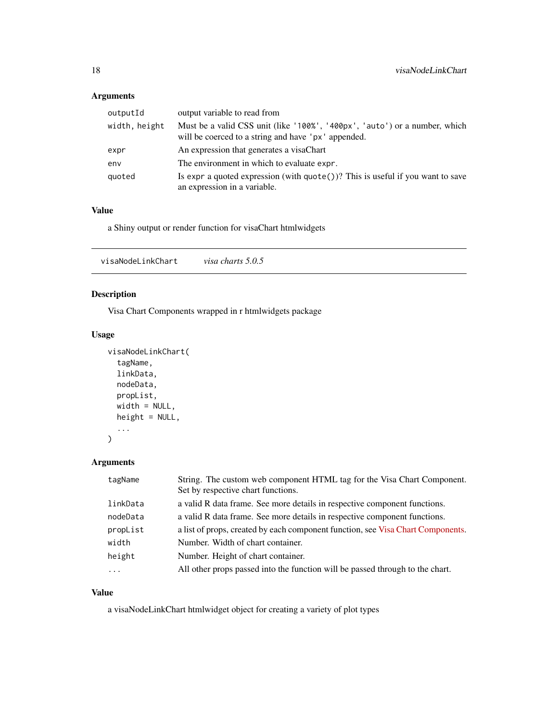## <span id="page-17-0"></span>Arguments

| outputId      | output variable to read from                                                                                                      |
|---------------|-----------------------------------------------------------------------------------------------------------------------------------|
| width, height | Must be a valid CSS unit (like '100%', '400px', 'auto') or a number, which<br>will be coerced to a string and have 'px' appended. |
| expr          | An expression that generates a visaChart                                                                                          |
| env           | The environment in which to evaluate expr.                                                                                        |
| quoted        | Is expr a quoted expression (with $\text{quote}()$ )? This is useful if you want to save<br>an expression in a variable.          |

## Value

a Shiny output or render function for visaChart htmlwidgets

## Description

Visa Chart Components wrapped in r htmlwidgets package

## Usage

```
visaNodeLinkChart(
  tagName,
  linkData,
  nodeData,
  propList,
  width = NULL,
  height = NULL,
  ...
)
```
## Arguments

| tagName  | String. The custom web component HTML tag for the Visa Chart Component.<br>Set by respective chart functions. |
|----------|---------------------------------------------------------------------------------------------------------------|
| linkData | a valid R data frame. See more details in respective component functions.                                     |
| nodeData | a valid R data frame. See more details in respective component functions.                                     |
| propList | a list of props, created by each component function, see Visa Chart Components.                               |
| width    | Number. Width of chart container.                                                                             |
| height   | Number. Height of chart container.                                                                            |
| .        | All other props passed into the function will be passed through to the chart.                                 |

## Value

a visaNodeLinkChart htmlwidget object for creating a variety of plot types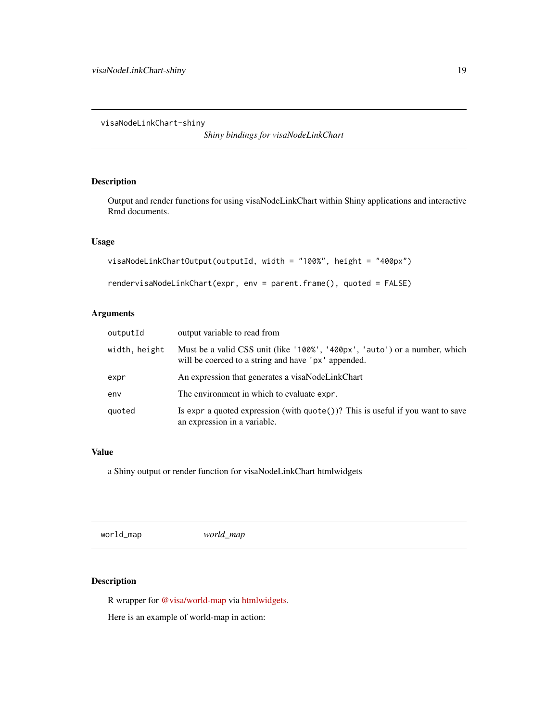<span id="page-18-0"></span>visaNodeLinkChart-shiny

*Shiny bindings for visaNodeLinkChart*

## Description

Output and render functions for using visaNodeLinkChart within Shiny applications and interactive Rmd documents.

#### Usage

```
visaNodeLinkChartOutput(outputId, width = "100%", height = "400px")
rendervisaNodeLinkChart(expr, env = parent.frame(), quoted = FALSE)
```
## Arguments

| outputId      | output variable to read from                                                                                                      |
|---------------|-----------------------------------------------------------------------------------------------------------------------------------|
| width, height | Must be a valid CSS unit (like '100%', '400px', 'auto') or a number, which<br>will be coerced to a string and have 'px' appended. |
| expr          | An expression that generates a visaNodeLinkChart                                                                                  |
| env           | The environment in which to evaluate expr.                                                                                        |
| quoted        | Is expr a quoted expression (with $\text{quote}()$ ? This is useful if you want to save<br>an expression in a variable.           |

#### Value

a Shiny output or render function for visaNodeLinkChart htmlwidgets

world\_map *world\_map*

## Description

R wrapper for [@visa/world-map](https://github.com/visa/visa-chart-components/tree/master/packages/world-map) via [htmlwidgets.](https://www.htmlwidgets.org/)

Here is an example of world-map in action: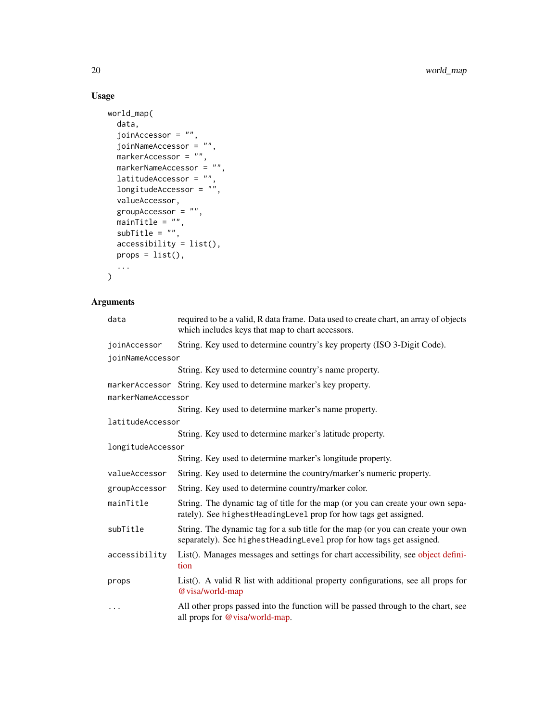## Usage

```
world_map(
  data,
  joinAccessor = "",
  joinNameAccessor = "",
 markerAccessor = "",
  markerNameAccessor = "",
  latitudeAccessor = "",
  longitudeAccessor = "",
  valueAccessor,
  groupAccessor = ",
  mainTitle = "",
  subTitle = "",accessibility = list(),
  props = list(),
  ...
\mathcal{L}
```

| data               | required to be a valid, R data frame. Data used to create chart, an array of objects<br>which includes keys that map to chart accessors.                  |
|--------------------|-----------------------------------------------------------------------------------------------------------------------------------------------------------|
| joinAccessor       | String. Key used to determine country's key property (ISO 3-Digit Code).                                                                                  |
| joinNameAccessor   |                                                                                                                                                           |
|                    | String. Key used to determine country's name property.                                                                                                    |
|                    | markerAccessor String. Key used to determine marker's key property.                                                                                       |
| markerNameAccessor |                                                                                                                                                           |
|                    | String. Key used to determine marker's name property.                                                                                                     |
| latitudeAccessor   |                                                                                                                                                           |
|                    | String. Key used to determine marker's latitude property.                                                                                                 |
| longitudeAccessor  |                                                                                                                                                           |
|                    | String. Key used to determine marker's longitude property.                                                                                                |
| valueAccessor      | String. Key used to determine the country/marker's numeric property.                                                                                      |
| groupAccessor      | String. Key used to determine country/marker color.                                                                                                       |
| mainTitle          | String. The dynamic tag of title for the map (or you can create your own sepa-<br>rately). See highestHeadingLevel prop for how tags get assigned.        |
| subTitle           | String. The dynamic tag for a sub title for the map (or you can create your own<br>separately). See highest Heading Level prop for how tags get assigned. |
| accessibility      | List(). Manages messages and settings for chart accessibility, see object defini-<br>tion                                                                 |
| props              | List(). A valid R list with additional property configurations, see all props for<br>@visa/world-map                                                      |
| $\cdots$           | All other props passed into the function will be passed through to the chart, see<br>all props for @visa/world-map.                                       |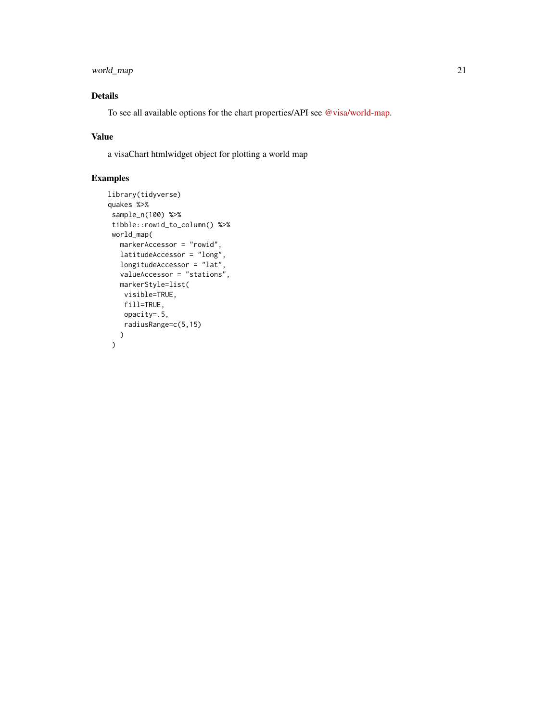## world\_map 21

## Details

To see all available options for the chart properties/API see [@visa/world-map.](https://github.com/visa/visa-chart-components/tree/master/packages/world-map)

## Value

a visaChart htmlwidget object for plotting a world map

```
library(tidyverse)
quakes %>%
 sample_n(100) %>%
 tibble::rowid_to_column() %>%
 world_map(
  markerAccessor = "rowid",
  latitudeAccessor = "long",
  longitudeAccessor = "lat",
  valueAccessor = "stations",
  markerStyle=list(
   visible=TRUE,
    fill=TRUE,
    opacity=.5,
    radiusRange=c(5,15)
  )
 \mathcal{L}
```